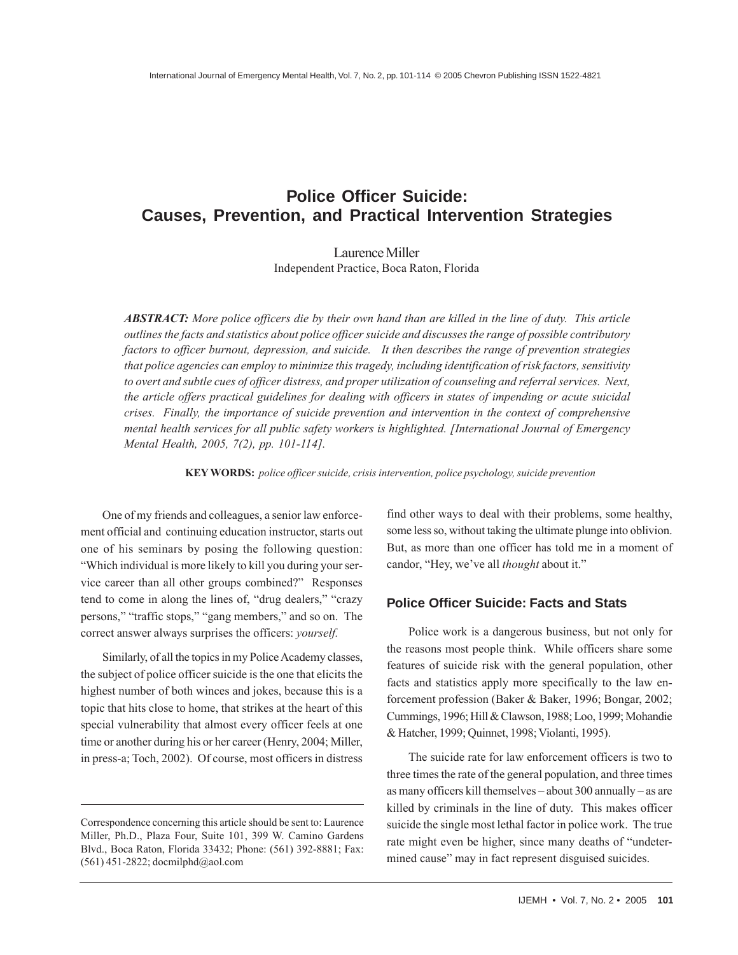# **Police Officer Suicide: Causes, Prevention, and Practical Intervention Strategies**

Laurence Miller Independent Practice, Boca Raton, Florida

*ABSTRACT: More police officers die by their own hand than are killed in the line of duty. This article outlines the facts and statistics about police officer suicide and discusses the range of possible contributory factors to officer burnout, depression, and suicide. It then describes the range of prevention strategies that police agencies can employ to minimize this tragedy, including identification of risk factors, sensitivity to overt and subtle cues of officer distress, and proper utilization of counseling and referral services. Next, the article offers practical guidelines for dealing with officers in states of impending or acute suicidal crises. Finally, the importance of suicide prevention and intervention in the context of comprehensive mental health services for all public safety workers is highlighted. [International Journal of Emergency Mental Health, 2005, 7(2), pp. 101-114].*

**KEY WORDS:** *police officer suicide, crisis intervention, police psychology, suicide prevention*

One of my friends and colleagues, a senior law enforcement official and continuing education instructor, starts out one of his seminars by posing the following question: "Which individual is more likely to kill you during your service career than all other groups combined?" Responses tend to come in along the lines of, "drug dealers," "crazy persons," "traffic stops," "gang members," and so on. The correct answer always surprises the officers: *yourself.*

Similarly, of all the topics in my Police Academy classes, the subject of police officer suicide is the one that elicits the highest number of both winces and jokes, because this is a topic that hits close to home, that strikes at the heart of this special vulnerability that almost every officer feels at one time or another during his or her career (Henry, 2004; Miller, in press-a; Toch, 2002). Of course, most officers in distress

find other ways to deal with their problems, some healthy, some less so, without taking the ultimate plunge into oblivion. But, as more than one officer has told me in a moment of candor, "Hey, we've all *thought* about it."

#### **Police Officer Suicide: Facts and Stats**

Police work is a dangerous business, but not only for the reasons most people think. While officers share some features of suicide risk with the general population, other facts and statistics apply more specifically to the law enforcement profession (Baker & Baker, 1996; Bongar, 2002; Cummings, 1996; Hill & Clawson, 1988; Loo, 1999; Mohandie & Hatcher, 1999; Quinnet, 1998; Violanti, 1995).

The suicide rate for law enforcement officers is two to three times the rate of the general population, and three times as many officers kill themselves – about 300 annually – as are killed by criminals in the line of duty. This makes officer suicide the single most lethal factor in police work. The true rate might even be higher, since many deaths of "undetermined cause" may in fact represent disguised suicides.

Correspondence concerning this article should be sent to: Laurence Miller, Ph.D., Plaza Four, Suite 101, 399 W. Camino Gardens Blvd., Boca Raton, Florida 33432; Phone: (561) 392-8881; Fax:  $(561)$  451-2822; docmilphd@aol.com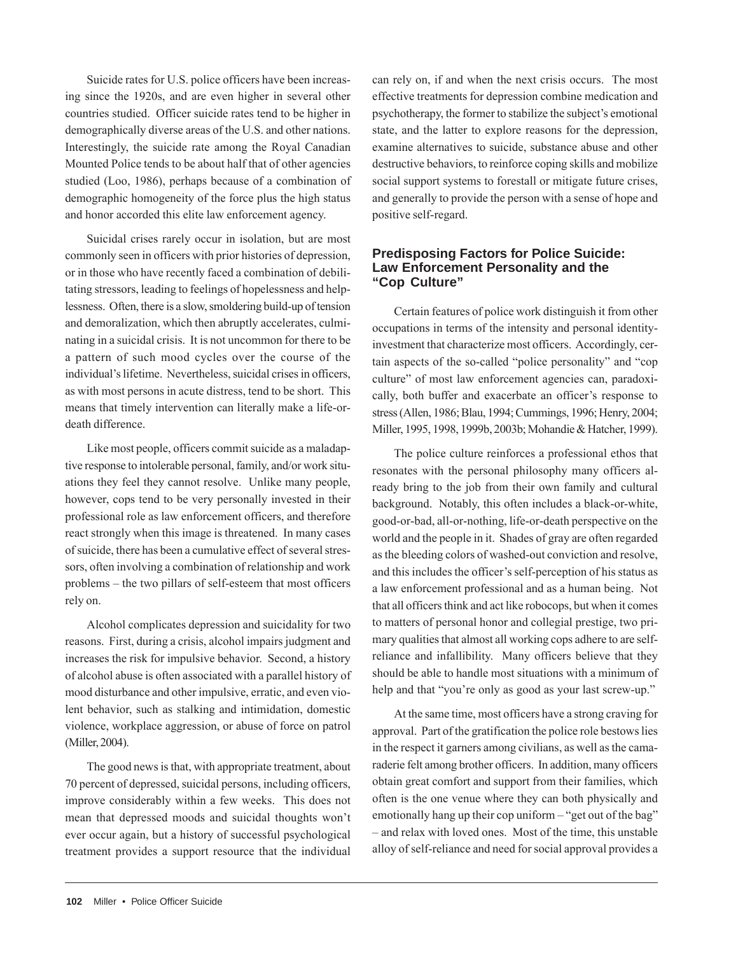Suicide rates for U.S. police officers have been increasing since the 1920s, and are even higher in several other countries studied. Officer suicide rates tend to be higher in demographically diverse areas of the U.S. and other nations. Interestingly, the suicide rate among the Royal Canadian Mounted Police tends to be about half that of other agencies studied (Loo, 1986), perhaps because of a combination of demographic homogeneity of the force plus the high status and honor accorded this elite law enforcement agency.

Suicidal crises rarely occur in isolation, but are most commonly seen in officers with prior histories of depression, or in those who have recently faced a combination of debilitating stressors, leading to feelings of hopelessness and helplessness. Often, there is a slow, smoldering build-up of tension and demoralization, which then abruptly accelerates, culminating in a suicidal crisis. It is not uncommon for there to be a pattern of such mood cycles over the course of the individual's lifetime. Nevertheless, suicidal crises in officers, as with most persons in acute distress, tend to be short. This means that timely intervention can literally make a life-ordeath difference.

Like most people, officers commit suicide as a maladaptive response to intolerable personal, family, and/or work situations they feel they cannot resolve. Unlike many people, however, cops tend to be very personally invested in their professional role as law enforcement officers, and therefore react strongly when this image is threatened. In many cases of suicide, there has been a cumulative effect of several stressors, often involving a combination of relationship and work problems – the two pillars of self-esteem that most officers rely on.

Alcohol complicates depression and suicidality for two reasons. First, during a crisis, alcohol impairs judgment and increases the risk for impulsive behavior. Second, a history of alcohol abuse is often associated with a parallel history of mood disturbance and other impulsive, erratic, and even violent behavior, such as stalking and intimidation, domestic violence, workplace aggression, or abuse of force on patrol (Miller, 2004).

The good news is that, with appropriate treatment, about 70 percent of depressed, suicidal persons, including officers, improve considerably within a few weeks. This does not mean that depressed moods and suicidal thoughts won't ever occur again, but a history of successful psychological treatment provides a support resource that the individual can rely on, if and when the next crisis occurs. The most effective treatments for depression combine medication and psychotherapy, the former to stabilize the subject's emotional state, and the latter to explore reasons for the depression, examine alternatives to suicide, substance abuse and other destructive behaviors, to reinforce coping skills and mobilize social support systems to forestall or mitigate future crises, and generally to provide the person with a sense of hope and positive self-regard.

#### **Predisposing Factors for Police Suicide: Law Enforcement Personality and the "Cop Culture"**

Certain features of police work distinguish it from other occupations in terms of the intensity and personal identityinvestment that characterize most officers. Accordingly, certain aspects of the so-called "police personality" and "cop culture" of most law enforcement agencies can, paradoxically, both buffer and exacerbate an officer's response to stress (Allen, 1986; Blau, 1994; Cummings, 1996; Henry, 2004; Miller, 1995, 1998, 1999b, 2003b; Mohandie & Hatcher, 1999).

The police culture reinforces a professional ethos that resonates with the personal philosophy many officers already bring to the job from their own family and cultural background. Notably, this often includes a black-or-white, good-or-bad, all-or-nothing, life-or-death perspective on the world and the people in it. Shades of gray are often regarded as the bleeding colors of washed-out conviction and resolve, and this includes the officer's self-perception of his status as a law enforcement professional and as a human being. Not that all officers think and act like robocops, but when it comes to matters of personal honor and collegial prestige, two primary qualities that almost all working cops adhere to are selfreliance and infallibility. Many officers believe that they should be able to handle most situations with a minimum of help and that "you're only as good as your last screw-up."

At the same time, most officers have a strong craving for approval. Part of the gratification the police role bestows lies in the respect it garners among civilians, as well as the camaraderie felt among brother officers. In addition, many officers obtain great comfort and support from their families, which often is the one venue where they can both physically and emotionally hang up their cop uniform – "get out of the bag" – and relax with loved ones. Most of the time, this unstable alloy of self-reliance and need for social approval provides a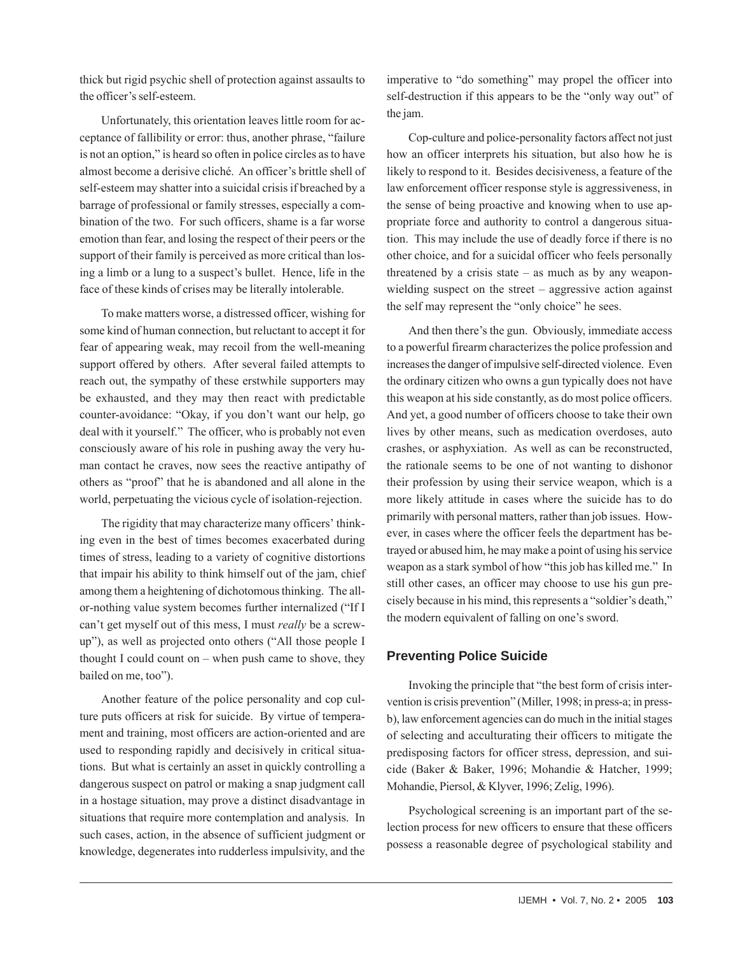thick but rigid psychic shell of protection against assaults to the officer's self-esteem.

Unfortunately, this orientation leaves little room for acceptance of fallibility or error: thus, another phrase, "failure is not an option," is heard so often in police circles as to have almost become a derisive cliché. An officer's brittle shell of self-esteem may shatter into a suicidal crisis if breached by a barrage of professional or family stresses, especially a combination of the two. For such officers, shame is a far worse emotion than fear, and losing the respect of their peers or the support of their family is perceived as more critical than losing a limb or a lung to a suspect's bullet. Hence, life in the face of these kinds of crises may be literally intolerable.

To make matters worse, a distressed officer, wishing for some kind of human connection, but reluctant to accept it for fear of appearing weak, may recoil from the well-meaning support offered by others. After several failed attempts to reach out, the sympathy of these erstwhile supporters may be exhausted, and they may then react with predictable counter-avoidance: "Okay, if you don't want our help, go deal with it yourself." The officer, who is probably not even consciously aware of his role in pushing away the very human contact he craves, now sees the reactive antipathy of others as "proof" that he is abandoned and all alone in the world, perpetuating the vicious cycle of isolation-rejection.

The rigidity that may characterize many officers' thinking even in the best of times becomes exacerbated during times of stress, leading to a variety of cognitive distortions that impair his ability to think himself out of the jam, chief among them a heightening of dichotomous thinking. The allor-nothing value system becomes further internalized ("If I can't get myself out of this mess, I must *really* be a screwup"), as well as projected onto others ("All those people I thought I could count on – when push came to shove, they bailed on me, too").

Another feature of the police personality and cop culture puts officers at risk for suicide. By virtue of temperament and training, most officers are action-oriented and are used to responding rapidly and decisively in critical situations. But what is certainly an asset in quickly controlling a dangerous suspect on patrol or making a snap judgment call in a hostage situation, may prove a distinct disadvantage in situations that require more contemplation and analysis. In such cases, action, in the absence of sufficient judgment or knowledge, degenerates into rudderless impulsivity, and the imperative to "do something" may propel the officer into self-destruction if this appears to be the "only way out" of the jam.

Cop-culture and police-personality factors affect not just how an officer interprets his situation, but also how he is likely to respond to it. Besides decisiveness, a feature of the law enforcement officer response style is aggressiveness, in the sense of being proactive and knowing when to use appropriate force and authority to control a dangerous situation. This may include the use of deadly force if there is no other choice, and for a suicidal officer who feels personally threatened by a crisis state  $-$  as much as by any weaponwielding suspect on the street – aggressive action against the self may represent the "only choice" he sees.

And then there's the gun. Obviously, immediate access to a powerful firearm characterizes the police profession and increases the danger of impulsive self-directed violence. Even the ordinary citizen who owns a gun typically does not have this weapon at his side constantly, as do most police officers. And yet, a good number of officers choose to take their own lives by other means, such as medication overdoses, auto crashes, or asphyxiation. As well as can be reconstructed, the rationale seems to be one of not wanting to dishonor their profession by using their service weapon, which is a more likely attitude in cases where the suicide has to do primarily with personal matters, rather than job issues. However, in cases where the officer feels the department has betrayed or abused him, he may make a point of using his service weapon as a stark symbol of how "this job has killed me." In still other cases, an officer may choose to use his gun precisely because in his mind, this represents a "soldier's death," the modern equivalent of falling on one's sword.

#### **Preventing Police Suicide**

Invoking the principle that "the best form of crisis intervention is crisis prevention" (Miller, 1998; in press-a; in pressb), law enforcement agencies can do much in the initial stages of selecting and acculturating their officers to mitigate the predisposing factors for officer stress, depression, and suicide (Baker & Baker, 1996; Mohandie & Hatcher, 1999; Mohandie, Piersol, & Klyver, 1996; Zelig, 1996).

Psychological screening is an important part of the selection process for new officers to ensure that these officers possess a reasonable degree of psychological stability and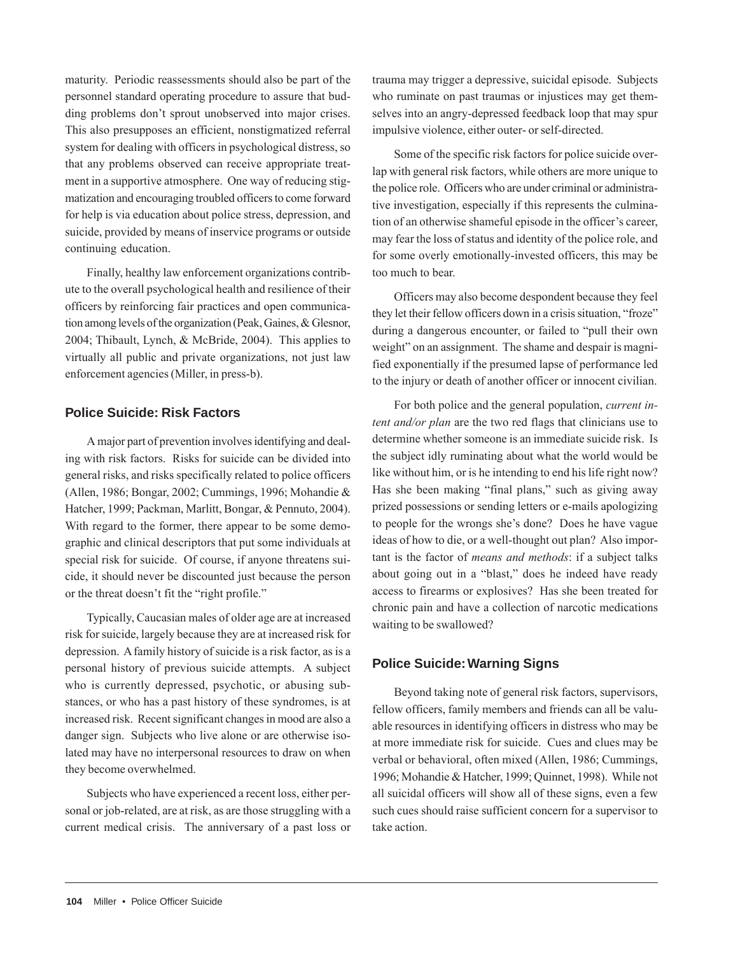maturity. Periodic reassessments should also be part of the personnel standard operating procedure to assure that budding problems don't sprout unobserved into major crises. This also presupposes an efficient, nonstigmatized referral system for dealing with officers in psychological distress, so that any problems observed can receive appropriate treatment in a supportive atmosphere. One way of reducing stigmatization and encouraging troubled officers to come forward for help is via education about police stress, depression, and suicide, provided by means of inservice programs or outside continuing education.

Finally, healthy law enforcement organizations contribute to the overall psychological health and resilience of their officers by reinforcing fair practices and open communication among levels of the organization (Peak, Gaines, & Glesnor, 2004; Thibault, Lynch, & McBride, 2004). This applies to virtually all public and private organizations, not just law enforcement agencies (Miller, in press-b).

#### **Police Suicide: Risk Factors**

A major part of prevention involves identifying and dealing with risk factors. Risks for suicide can be divided into general risks, and risks specifically related to police officers (Allen, 1986; Bongar, 2002; Cummings, 1996; Mohandie & Hatcher, 1999; Packman, Marlitt, Bongar, & Pennuto, 2004). With regard to the former, there appear to be some demographic and clinical descriptors that put some individuals at special risk for suicide. Of course, if anyone threatens suicide, it should never be discounted just because the person or the threat doesn't fit the "right profile."

Typically, Caucasian males of older age are at increased risk for suicide, largely because they are at increased risk for depression. A family history of suicide is a risk factor, as is a personal history of previous suicide attempts. A subject who is currently depressed, psychotic, or abusing substances, or who has a past history of these syndromes, is at increased risk. Recent significant changes in mood are also a danger sign. Subjects who live alone or are otherwise isolated may have no interpersonal resources to draw on when they become overwhelmed.

Subjects who have experienced a recent loss, either personal or job-related, are at risk, as are those struggling with a current medical crisis. The anniversary of a past loss or trauma may trigger a depressive, suicidal episode. Subjects who ruminate on past traumas or injustices may get themselves into an angry-depressed feedback loop that may spur impulsive violence, either outer- or self-directed.

Some of the specific risk factors for police suicide overlap with general risk factors, while others are more unique to the police role. Officers who are under criminal or administrative investigation, especially if this represents the culmination of an otherwise shameful episode in the officer's career, may fear the loss of status and identity of the police role, and for some overly emotionally-invested officers, this may be too much to bear.

Officers may also become despondent because they feel they let their fellow officers down in a crisis situation, "froze" during a dangerous encounter, or failed to "pull their own weight" on an assignment. The shame and despair is magnified exponentially if the presumed lapse of performance led to the injury or death of another officer or innocent civilian.

For both police and the general population, *current intent and/or plan* are the two red flags that clinicians use to determine whether someone is an immediate suicide risk. Is the subject idly ruminating about what the world would be like without him, or is he intending to end his life right now? Has she been making "final plans," such as giving away prized possessions or sending letters or e-mails apologizing to people for the wrongs she's done? Does he have vague ideas of how to die, or a well-thought out plan? Also important is the factor of *means and methods*: if a subject talks about going out in a "blast," does he indeed have ready access to firearms or explosives? Has she been treated for chronic pain and have a collection of narcotic medications waiting to be swallowed?

## **Police Suicide: Warning Signs**

Beyond taking note of general risk factors, supervisors, fellow officers, family members and friends can all be valuable resources in identifying officers in distress who may be at more immediate risk for suicide. Cues and clues may be verbal or behavioral, often mixed (Allen, 1986; Cummings, 1996; Mohandie & Hatcher, 1999; Quinnet, 1998). While not all suicidal officers will show all of these signs, even a few such cues should raise sufficient concern for a supervisor to take action.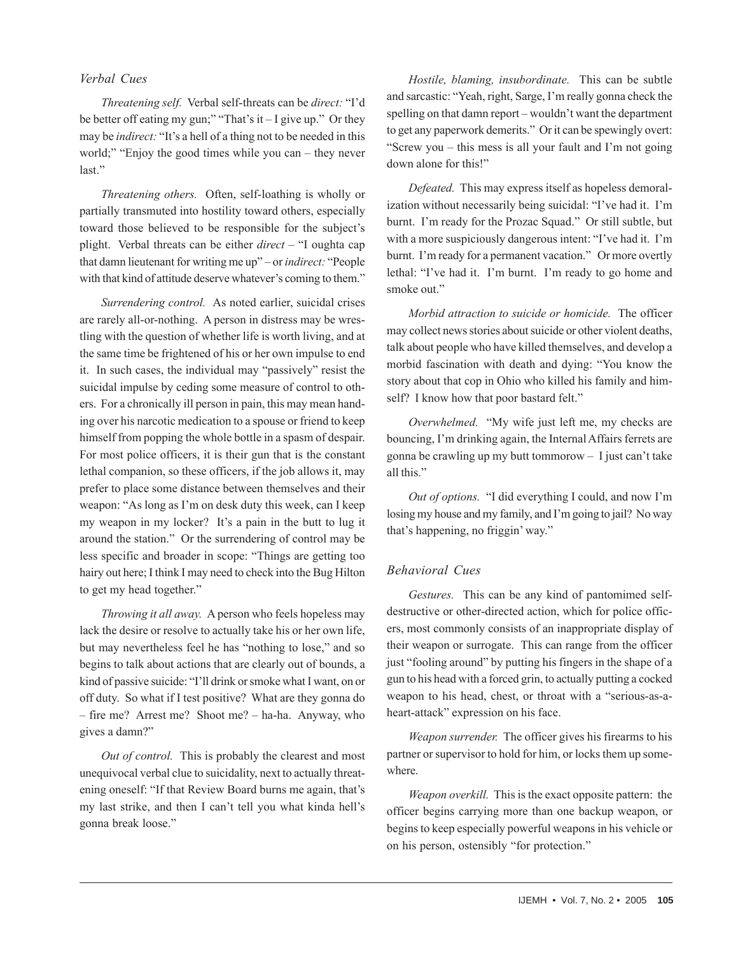## *Verbal Cues*

*Threatening self.* Verbal self-threats can be *direct:* "I'd be better off eating my gun;" "That's it  $-$  I give up." Or they may be *indirect:* "It's a hell of a thing not to be needed in this world;" "Enjoy the good times while you can – they never last<sup>"</sup>

*Threatening others.* Often, self-loathing is wholly or partially transmuted into hostility toward others, especially toward those believed to be responsible for the subject's plight. Verbal threats can be either *direct* – "I oughta cap that damn lieutenant for writing me up" – or *indirect:* "People with that kind of attitude deserve whatever's coming to them."

*Surrendering control.* As noted earlier, suicidal crises are rarely all-or-nothing. A person in distress may be wrestling with the question of whether life is worth living, and at the same time be frightened of his or her own impulse to end it. In such cases, the individual may "passively" resist the suicidal impulse by ceding some measure of control to others. For a chronically ill person in pain, this may mean handing over his narcotic medication to a spouse or friend to keep himself from popping the whole bottle in a spasm of despair. For most police officers, it is their gun that is the constant lethal companion, so these officers, if the job allows it, may prefer to place some distance between themselves and their weapon: "As long as I'm on desk duty this week, can I keep my weapon in my locker? It's a pain in the butt to lug it around the station." Or the surrendering of control may be less specific and broader in scope: "Things are getting too hairy out here; I think I may need to check into the Bug Hilton to get my head together."

*Throwing it all away.* A person who feels hopeless may lack the desire or resolve to actually take his or her own life, but may nevertheless feel he has "nothing to lose," and so begins to talk about actions that are clearly out of bounds, a kind of passive suicide: "I'll drink or smoke what I want, on or off duty. So what if I test positive? What are they gonna do – fire me? Arrest me? Shoot me? – ha-ha. Anyway, who gives a damn?"

*Out of control.* This is probably the clearest and most unequivocal verbal clue to suicidality, next to actually threatening oneself: "If that Review Board burns me again, that's my last strike, and then I can't tell you what kinda hell's gonna break loose."

*Hostile, blaming, insubordinate.* This can be subtle and sarcastic: "Yeah, right, Sarge, I'm really gonna check the spelling on that damn report – wouldn't want the department to get any paperwork demerits." Or it can be spewingly overt: "Screw you – this mess is all your fault and I'm not going down alone for this!"

*Defeated.* This may express itself as hopeless demoralization without necessarily being suicidal: "I've had it. I'm burnt. I'm ready for the Prozac Squad." Or still subtle, but with a more suspiciously dangerous intent: "I've had it. I'm burnt. I'm ready for a permanent vacation." Or more overtly lethal: "I've had it. I'm burnt. I'm ready to go home and smoke out."

*Morbid attraction to suicide or homicide.* The officer may collect news stories about suicide or other violent deaths, talk about people who have killed themselves, and develop a morbid fascination with death and dying: "You know the story about that cop in Ohio who killed his family and himself? I know how that poor bastard felt."

*Overwhelmed.* "My wife just left me, my checks are bouncing, I'm drinking again, the Internal Affairs ferrets are gonna be crawling up my butt tommorow – I just can't take all this."

*Out of options.* "I did everything I could, and now I'm losing my house and my family, and I'm going to jail? No way that's happening, no friggin' way."

#### *Behavioral Cues*

*Gestures.* This can be any kind of pantomimed selfdestructive or other-directed action, which for police officers, most commonly consists of an inappropriate display of their weapon or surrogate. This can range from the officer just "fooling around" by putting his fingers in the shape of a gun to his head with a forced grin, to actually putting a cocked weapon to his head, chest, or throat with a "serious-as-aheart-attack" expression on his face.

*Weapon surrender.* The officer gives his firearms to his partner or supervisor to hold for him, or locks them up somewhere.

*Weapon overkill.* This is the exact opposite pattern: the officer begins carrying more than one backup weapon, or begins to keep especially powerful weapons in his vehicle or on his person, ostensibly "for protection."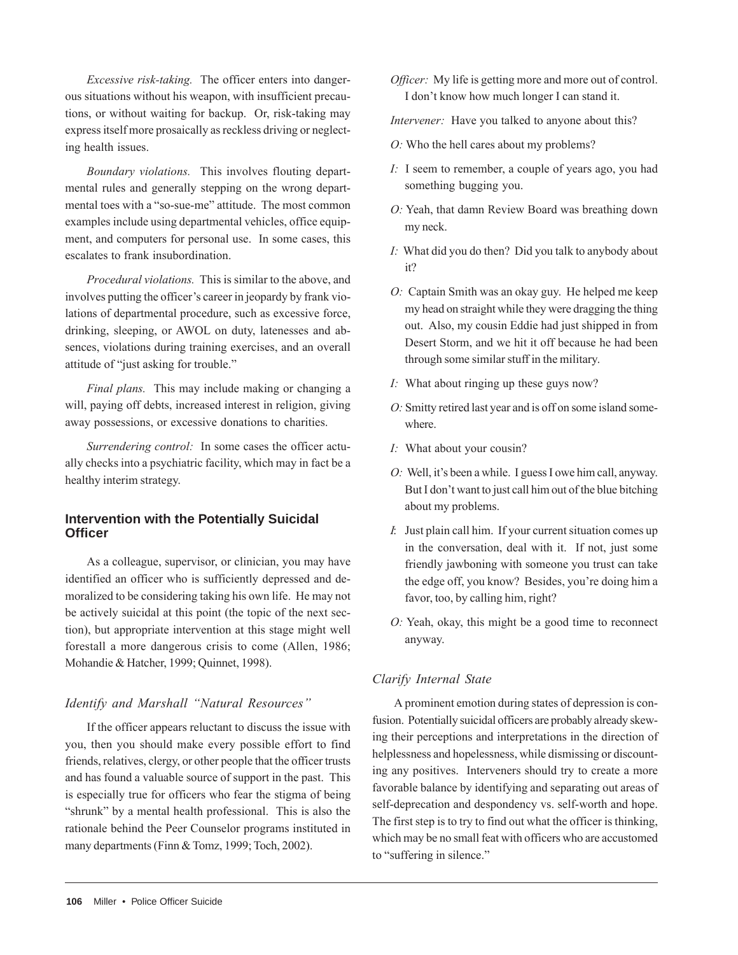*Excessive risk-taking.* The officer enters into dangerous situations without his weapon, with insufficient precautions, or without waiting for backup. Or, risk-taking may express itself more prosaically as reckless driving or neglecting health issues.

*Boundary violations.* This involves flouting departmental rules and generally stepping on the wrong departmental toes with a "so-sue-me" attitude. The most common examples include using departmental vehicles, office equipment, and computers for personal use. In some cases, this escalates to frank insubordination.

*Procedural violations.* This is similar to the above, and involves putting the officer's career in jeopardy by frank violations of departmental procedure, such as excessive force, drinking, sleeping, or AWOL on duty, latenesses and absences, violations during training exercises, and an overall attitude of "just asking for trouble."

*Final plans.* This may include making or changing a will, paying off debts, increased interest in religion, giving away possessions, or excessive donations to charities.

*Surrendering control:* In some cases the officer actually checks into a psychiatric facility, which may in fact be a healthy interim strategy.

#### **Intervention with the Potentially Suicidal Officer**

As a colleague, supervisor, or clinician, you may have identified an officer who is sufficiently depressed and demoralized to be considering taking his own life. He may not be actively suicidal at this point (the topic of the next section), but appropriate intervention at this stage might well forestall a more dangerous crisis to come (Allen, 1986; Mohandie & Hatcher, 1999; Quinnet, 1998).

#### *Identify and Marshall "Natural Resources"*

If the officer appears reluctant to discuss the issue with you, then you should make every possible effort to find friends, relatives, clergy, or other people that the officer trusts and has found a valuable source of support in the past. This is especially true for officers who fear the stigma of being "shrunk" by a mental health professional. This is also the rationale behind the Peer Counselor programs instituted in many departments (Finn & Tomz, 1999; Toch, 2002).

*Officer:* My life is getting more and more out of control. I don't know how much longer I can stand it.

*Intervener:* Have you talked to anyone about this?

- *O:* Who the hell cares about my problems?
- *I:* I seem to remember, a couple of years ago, you had something bugging you.
- *O:* Yeah, that damn Review Board was breathing down my neck.
- *I:* What did you do then? Did you talk to anybody about it?
- *O:* Captain Smith was an okay guy. He helped me keep my head on straight while they were dragging the thing out. Also, my cousin Eddie had just shipped in from Desert Storm, and we hit it off because he had been through some similar stuff in the military.
- *I:* What about ringing up these guys now?
- *O:* Smitty retired last year and is off on some island somewhere.
- *I:* What about your cousin?
- *O:* Well, it's been a while. I guess I owe him call, anyway. But I don't want to just call him out of the blue bitching about my problems.
- *I*: Just plain call him. If your current situation comes up in the conversation, deal with it. If not, just some friendly jawboning with someone you trust can take the edge off, you know? Besides, you're doing him a favor, too, by calling him, right?
- *O:* Yeah, okay, this might be a good time to reconnect anyway.

#### *Clarify Internal State*

A prominent emotion during states of depression is confusion. Potentially suicidal officers are probably already skewing their perceptions and interpretations in the direction of helplessness and hopelessness, while dismissing or discounting any positives. Interveners should try to create a more favorable balance by identifying and separating out areas of self-deprecation and despondency vs. self-worth and hope. The first step is to try to find out what the officer is thinking, which may be no small feat with officers who are accustomed to "suffering in silence."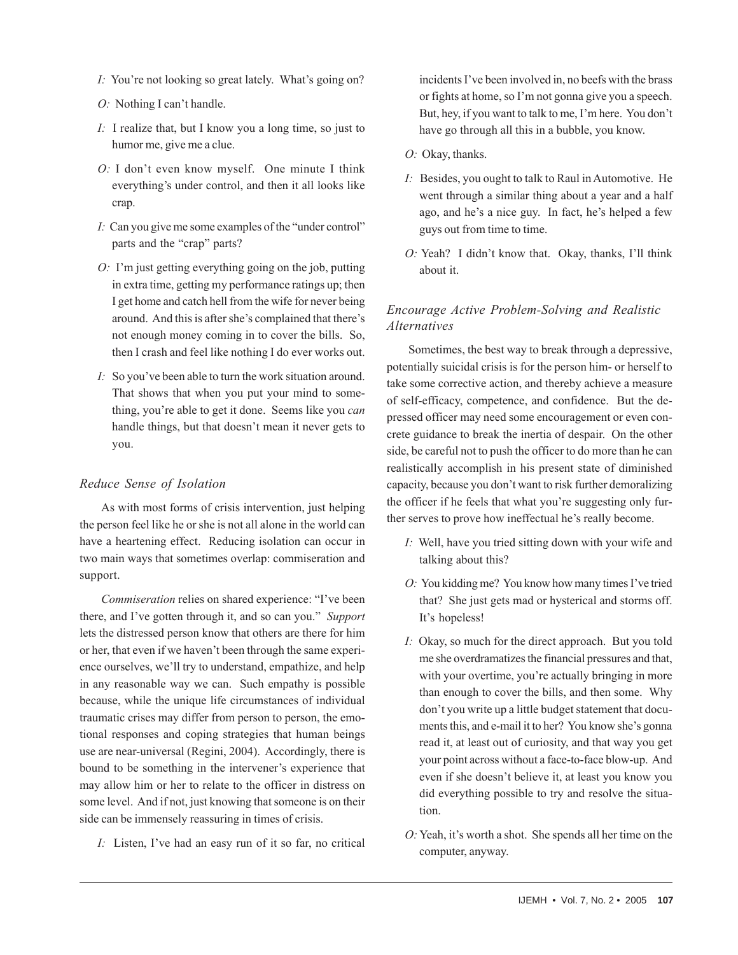- *I:* You're not looking so great lately. What's going on?
- *O:* Nothing I can't handle.
- *I:* I realize that, but I know you a long time, so just to humor me, give me a clue.
- *O:* I don't even know myself. One minute I think everything's under control, and then it all looks like crap.
- *I:* Can you give me some examples of the "under control" parts and the "crap" parts?
- *O:* I'm just getting everything going on the job, putting in extra time, getting my performance ratings up; then I get home and catch hell from the wife for never being around. And this is after she's complained that there's not enough money coming in to cover the bills. So, then I crash and feel like nothing I do ever works out.
- *I:* So you've been able to turn the work situation around. That shows that when you put your mind to something, you're able to get it done. Seems like you *can* handle things, but that doesn't mean it never gets to you.

# *Reduce Sense of Isolation*

As with most forms of crisis intervention, just helping the person feel like he or she is not all alone in the world can have a heartening effect. Reducing isolation can occur in two main ways that sometimes overlap: commiseration and support.

*Commiseration* relies on shared experience: "I've been there, and I've gotten through it, and so can you." *Support* lets the distressed person know that others are there for him or her, that even if we haven't been through the same experience ourselves, we'll try to understand, empathize, and help in any reasonable way we can. Such empathy is possible because, while the unique life circumstances of individual traumatic crises may differ from person to person, the emotional responses and coping strategies that human beings use are near-universal (Regini, 2004). Accordingly, there is bound to be something in the intervener's experience that may allow him or her to relate to the officer in distress on some level. And if not, just knowing that someone is on their side can be immensely reassuring in times of crisis.

*I:* Listen, I've had an easy run of it so far, no critical

incidents I've been involved in, no beefs with the brass or fights at home, so I'm not gonna give you a speech. But, hey, if you want to talk to me, I'm here. You don't have go through all this in a bubble, you know.

- *O:* Okay, thanks.
- *I:* Besides, you ought to talk to Raul in Automotive. He went through a similar thing about a year and a half ago, and he's a nice guy. In fact, he's helped a few guys out from time to time.
- *O:* Yeah? I didn't know that. Okay, thanks, I'll think about it.

# *Encourage Active Problem-Solving and Realistic Alternatives*

Sometimes, the best way to break through a depressive, potentially suicidal crisis is for the person him- or herself to take some corrective action, and thereby achieve a measure of self-efficacy, competence, and confidence. But the depressed officer may need some encouragement or even concrete guidance to break the inertia of despair. On the other side, be careful not to push the officer to do more than he can realistically accomplish in his present state of diminished capacity, because you don't want to risk further demoralizing the officer if he feels that what you're suggesting only further serves to prove how ineffectual he's really become.

- *I:* Well, have you tried sitting down with your wife and talking about this?
- *O:* You kidding me? You know how many times I've tried that? She just gets mad or hysterical and storms off. It's hopeless!
- *I:* Okay, so much for the direct approach. But you told me she overdramatizes the financial pressures and that, with your overtime, you're actually bringing in more than enough to cover the bills, and then some. Why don't you write up a little budget statement that documents this, and e-mail it to her? You know she's gonna read it, at least out of curiosity, and that way you get your point across without a face-to-face blow-up. And even if she doesn't believe it, at least you know you did everything possible to try and resolve the situation.
- *O:* Yeah, it's worth a shot. She spends all her time on the computer, anyway.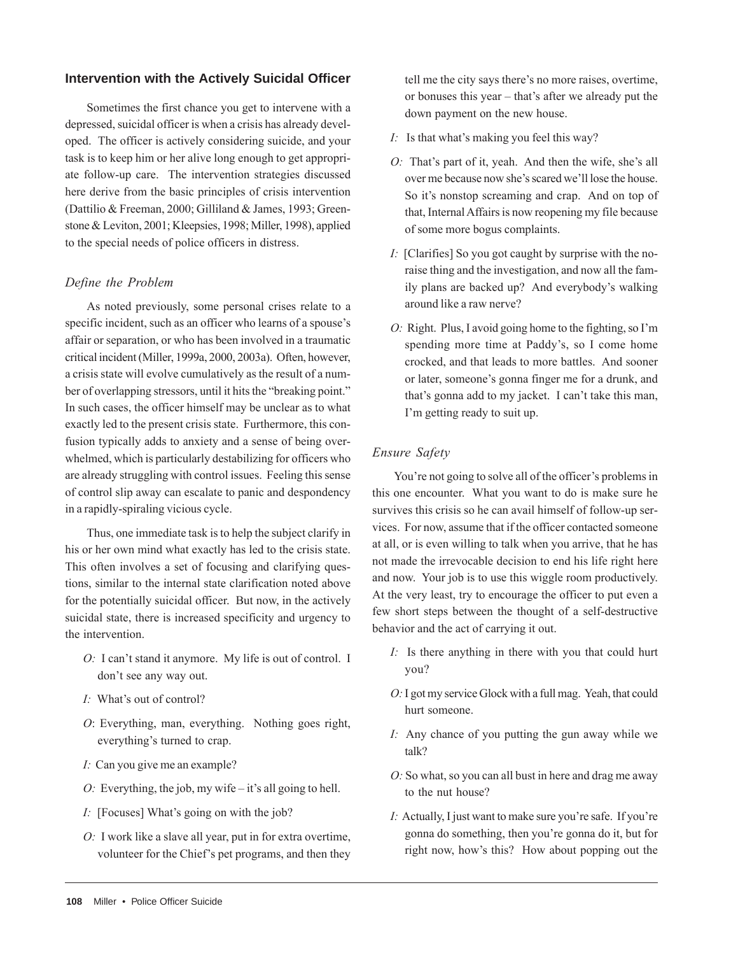#### **Intervention with the Actively Suicidal Officer**

Sometimes the first chance you get to intervene with a depressed, suicidal officer is when a crisis has already developed. The officer is actively considering suicide, and your task is to keep him or her alive long enough to get appropriate follow-up care. The intervention strategies discussed here derive from the basic principles of crisis intervention (Dattilio & Freeman, 2000; Gilliland & James, 1993; Greenstone & Leviton, 2001; Kleepsies, 1998; Miller, 1998), applied to the special needs of police officers in distress.

#### *Define the Problem*

As noted previously, some personal crises relate to a specific incident, such as an officer who learns of a spouse's affair or separation, or who has been involved in a traumatic critical incident (Miller, 1999a, 2000, 2003a). Often, however, a crisis state will evolve cumulatively as the result of a number of overlapping stressors, until it hits the "breaking point." In such cases, the officer himself may be unclear as to what exactly led to the present crisis state. Furthermore, this confusion typically adds to anxiety and a sense of being overwhelmed, which is particularly destabilizing for officers who are already struggling with control issues. Feeling this sense of control slip away can escalate to panic and despondency in a rapidly-spiraling vicious cycle.

Thus, one immediate task is to help the subject clarify in his or her own mind what exactly has led to the crisis state. This often involves a set of focusing and clarifying questions, similar to the internal state clarification noted above for the potentially suicidal officer. But now, in the actively suicidal state, there is increased specificity and urgency to the intervention.

- *O:* I can't stand it anymore. My life is out of control. I don't see any way out.
- *I:* What's out of control?
- *O*: Everything, man, everything. Nothing goes right, everything's turned to crap.
- *I:* Can you give me an example?
- *O*: Everything, the job, my wife it's all going to hell.
- *I:* [Focuses] What's going on with the job?
- *O:* I work like a slave all year, put in for extra overtime, volunteer for the Chief's pet programs, and then they

tell me the city says there's no more raises, overtime, or bonuses this year – that's after we already put the down payment on the new house.

- *I:* Is that what's making you feel this way?
- *O:* That's part of it, yeah. And then the wife, she's all over me because now she's scared we'll lose the house. So it's nonstop screaming and crap. And on top of that, Internal Affairs is now reopening my file because of some more bogus complaints.
- *I:* [Clarifies] So you got caught by surprise with the noraise thing and the investigation, and now all the family plans are backed up? And everybody's walking around like a raw nerve?
- *O:* Right. Plus, I avoid going home to the fighting, so I'm spending more time at Paddy's, so I come home crocked, and that leads to more battles. And sooner or later, someone's gonna finger me for a drunk, and that's gonna add to my jacket. I can't take this man, I'm getting ready to suit up.

#### *Ensure Safety*

You're not going to solve all of the officer's problems in this one encounter. What you want to do is make sure he survives this crisis so he can avail himself of follow-up services. For now, assume that if the officer contacted someone at all, or is even willing to talk when you arrive, that he has not made the irrevocable decision to end his life right here and now. Your job is to use this wiggle room productively. At the very least, try to encourage the officer to put even a few short steps between the thought of a self-destructive behavior and the act of carrying it out.

- *I:* Is there anything in there with you that could hurt you?
- *O:* I got my service Glock with a full mag. Yeah, that could hurt someone.
- *I:* Any chance of you putting the gun away while we talk?
- *O:* So what, so you can all bust in here and drag me away to the nut house?
- *I:* Actually, I just want to make sure you're safe. If you're gonna do something, then you're gonna do it, but for right now, how's this? How about popping out the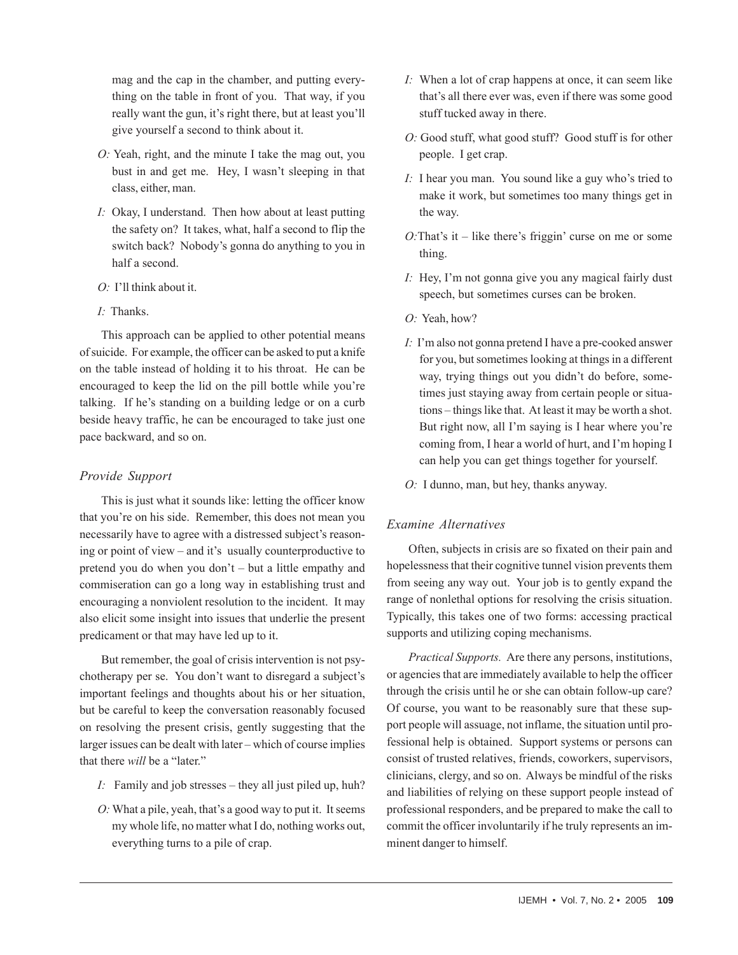mag and the cap in the chamber, and putting everything on the table in front of you. That way, if you really want the gun, it's right there, but at least you'll give yourself a second to think about it.

- *O:* Yeah, right, and the minute I take the mag out, you bust in and get me. Hey, I wasn't sleeping in that class, either, man.
- *I:* Okay, I understand. Then how about at least putting the safety on? It takes, what, half a second to flip the switch back? Nobody's gonna do anything to you in half a second.
- *O:* I'll think about it.
- *I:* Thanks.

This approach can be applied to other potential means of suicide. For example, the officer can be asked to put a knife on the table instead of holding it to his throat. He can be encouraged to keep the lid on the pill bottle while you're talking. If he's standing on a building ledge or on a curb beside heavy traffic, he can be encouraged to take just one pace backward, and so on.

## *Provide Support*

This is just what it sounds like: letting the officer know that you're on his side. Remember, this does not mean you necessarily have to agree with a distressed subject's reasoning or point of view – and it's usually counterproductive to pretend you do when you don't – but a little empathy and commiseration can go a long way in establishing trust and encouraging a nonviolent resolution to the incident. It may also elicit some insight into issues that underlie the present predicament or that may have led up to it.

But remember, the goal of crisis intervention is not psychotherapy per se. You don't want to disregard a subject's important feelings and thoughts about his or her situation, but be careful to keep the conversation reasonably focused on resolving the present crisis, gently suggesting that the larger issues can be dealt with later – which of course implies that there *will* be a "later."

- *I:* Family and job stresses they all just piled up, huh?
- *O:* What a pile, yeah, that's a good way to put it. It seems my whole life, no matter what I do, nothing works out, everything turns to a pile of crap.
- *I:* When a lot of crap happens at once, it can seem like that's all there ever was, even if there was some good stuff tucked away in there.
- *O:* Good stuff, what good stuff? Good stuff is for other people. I get crap.
- *I:* I hear you man. You sound like a guy who's tried to make it work, but sometimes too many things get in the way.
- *O:*That's it like there's friggin' curse on me or some thing.
- *I:* Hey, I'm not gonna give you any magical fairly dust speech, but sometimes curses can be broken.
- *O:* Yeah, how?
- *I:* I'm also not gonna pretend I have a pre-cooked answer for you, but sometimes looking at things in a different way, trying things out you didn't do before, sometimes just staying away from certain people or situations – things like that. At least it may be worth a shot. But right now, all I'm saying is I hear where you're coming from, I hear a world of hurt, and I'm hoping I can help you can get things together for yourself.
- *O:* I dunno, man, but hey, thanks anyway.

## *Examine Alternatives*

Often, subjects in crisis are so fixated on their pain and hopelessness that their cognitive tunnel vision prevents them from seeing any way out. Your job is to gently expand the range of nonlethal options for resolving the crisis situation. Typically, this takes one of two forms: accessing practical supports and utilizing coping mechanisms.

*Practical Supports.* Are there any persons, institutions, or agencies that are immediately available to help the officer through the crisis until he or she can obtain follow-up care? Of course, you want to be reasonably sure that these support people will assuage, not inflame, the situation until professional help is obtained. Support systems or persons can consist of trusted relatives, friends, coworkers, supervisors, clinicians, clergy, and so on. Always be mindful of the risks and liabilities of relying on these support people instead of professional responders, and be prepared to make the call to commit the officer involuntarily if he truly represents an imminent danger to himself.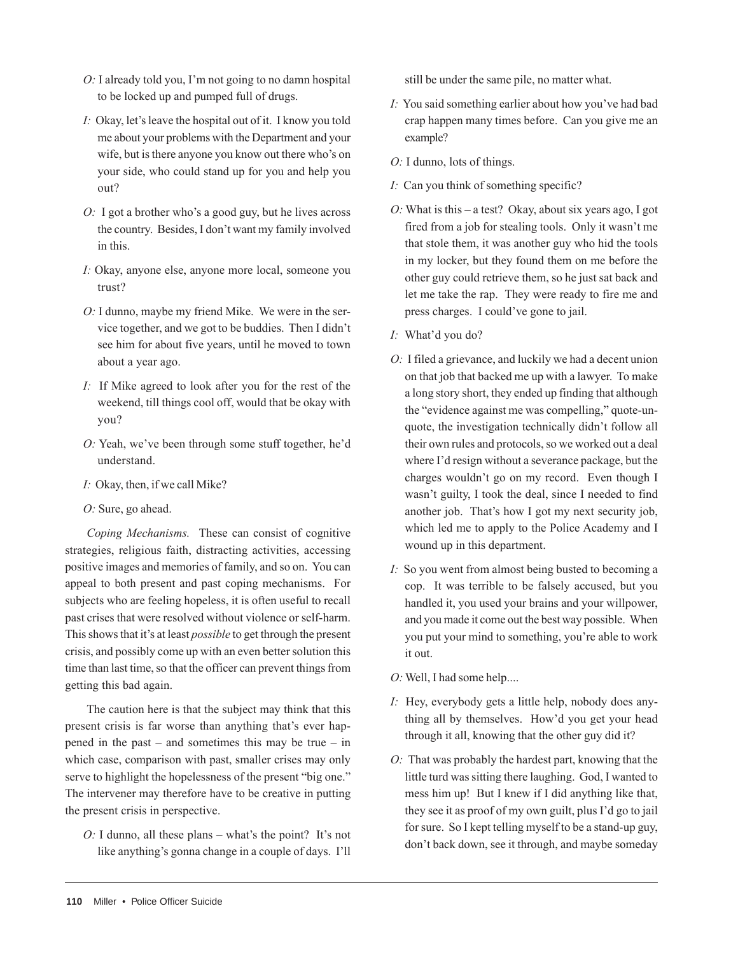- *O:* I already told you, I'm not going to no damn hospital to be locked up and pumped full of drugs.
- *I:* Okay, let's leave the hospital out of it. I know you told me about your problems with the Department and your wife, but is there anyone you know out there who's on your side, who could stand up for you and help you out?
- *O:* I got a brother who's a good guy, but he lives across the country. Besides, I don't want my family involved in this.
- *I:* Okay, anyone else, anyone more local, someone you trust?
- *O:* I dunno, maybe my friend Mike. We were in the service together, and we got to be buddies. Then I didn't see him for about five years, until he moved to town about a year ago.
- *I:* If Mike agreed to look after you for the rest of the weekend, till things cool off, would that be okay with you?
- *O:* Yeah, we've been through some stuff together, he'd understand.
- *I:* Okay, then, if we call Mike?
- *O:* Sure, go ahead.

*Coping Mechanisms.* These can consist of cognitive strategies, religious faith, distracting activities, accessing positive images and memories of family, and so on. You can appeal to both present and past coping mechanisms. For subjects who are feeling hopeless, it is often useful to recall past crises that were resolved without violence or self-harm. This shows that it's at least *possible* to get through the present crisis, and possibly come up with an even better solution this time than last time, so that the officer can prevent things from getting this bad again.

The caution here is that the subject may think that this present crisis is far worse than anything that's ever happened in the past – and sometimes this may be true – in which case, comparison with past, smaller crises may only serve to highlight the hopelessness of the present "big one." The intervener may therefore have to be creative in putting the present crisis in perspective.

*O:* I dunno, all these plans – what's the point? It's not like anything's gonna change in a couple of days. I'll still be under the same pile, no matter what.

- *I:* You said something earlier about how you've had bad crap happen many times before. Can you give me an example?
- *O:* I dunno, lots of things.
- *I:* Can you think of something specific?
- *O:* What is this a test? Okay, about six years ago, I got fired from a job for stealing tools. Only it wasn't me that stole them, it was another guy who hid the tools in my locker, but they found them on me before the other guy could retrieve them, so he just sat back and let me take the rap. They were ready to fire me and press charges. I could've gone to jail.
- *I:* What'd you do?
- *O:* I filed a grievance, and luckily we had a decent union on that job that backed me up with a lawyer. To make a long story short, they ended up finding that although the "evidence against me was compelling," quote-unquote, the investigation technically didn't follow all their own rules and protocols, so we worked out a deal where I'd resign without a severance package, but the charges wouldn't go on my record. Even though I wasn't guilty, I took the deal, since I needed to find another job. That's how I got my next security job, which led me to apply to the Police Academy and I wound up in this department.
- *I:* So you went from almost being busted to becoming a cop. It was terrible to be falsely accused, but you handled it, you used your brains and your willpower, and you made it come out the best way possible. When you put your mind to something, you're able to work it out.
- *O:* Well, I had some help....
- *I:* Hey, everybody gets a little help, nobody does anything all by themselves. How'd you get your head through it all, knowing that the other guy did it?
- *O:* That was probably the hardest part, knowing that the little turd was sitting there laughing. God, I wanted to mess him up! But I knew if I did anything like that, they see it as proof of my own guilt, plus I'd go to jail for sure. So I kept telling myself to be a stand-up guy, don't back down, see it through, and maybe someday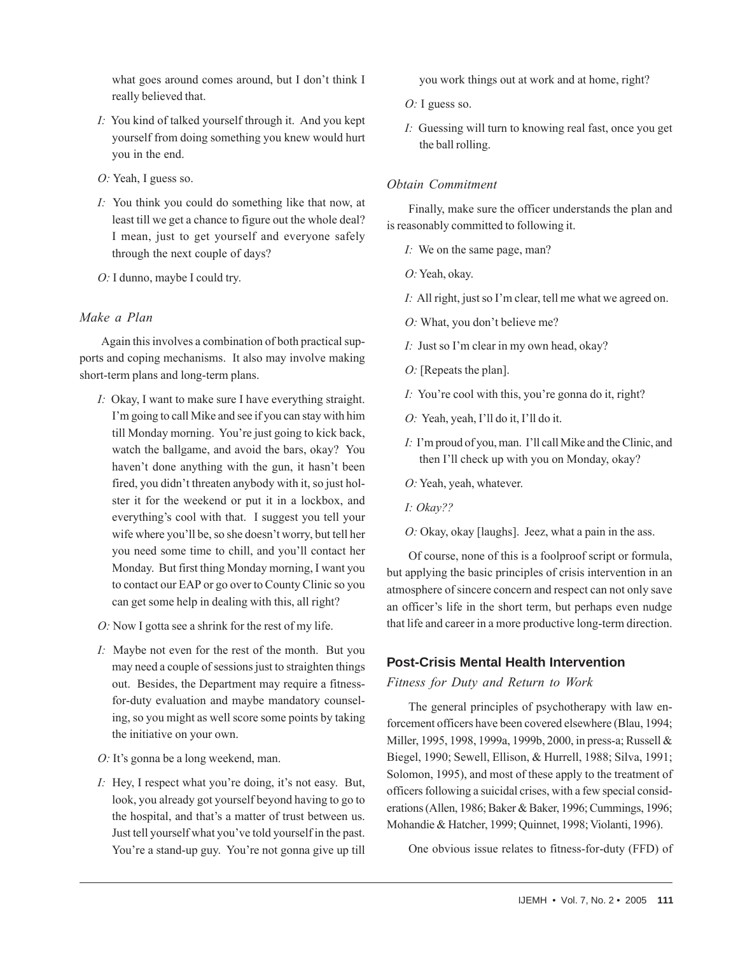what goes around comes around, but I don't think I really believed that.

- *I:* You kind of talked yourself through it. And you kept yourself from doing something you knew would hurt you in the end.
- *O:* Yeah, I guess so.
- *I:* You think you could do something like that now, at least till we get a chance to figure out the whole deal? I mean, just to get yourself and everyone safely through the next couple of days?
- *O:* I dunno, maybe I could try.

## *Make a Plan*

Again this involves a combination of both practical supports and coping mechanisms. It also may involve making short-term plans and long-term plans.

- *I:* Okay, I want to make sure I have everything straight. I'm going to call Mike and see if you can stay with him till Monday morning. You're just going to kick back, watch the ballgame, and avoid the bars, okay? You haven't done anything with the gun, it hasn't been fired, you didn't threaten anybody with it, so just holster it for the weekend or put it in a lockbox, and everything's cool with that. I suggest you tell your wife where you'll be, so she doesn't worry, but tell her you need some time to chill, and you'll contact her Monday. But first thing Monday morning, I want you to contact our EAP or go over to County Clinic so you can get some help in dealing with this, all right?
- *O:* Now I gotta see a shrink for the rest of my life.
- *I:* Maybe not even for the rest of the month. But you may need a couple of sessions just to straighten things out. Besides, the Department may require a fitnessfor-duty evaluation and maybe mandatory counseling, so you might as well score some points by taking the initiative on your own.
- *O:* It's gonna be a long weekend, man.
- *I:* Hey, I respect what you're doing, it's not easy. But, look, you already got yourself beyond having to go to the hospital, and that's a matter of trust between us. Just tell yourself what you've told yourself in the past. You're a stand-up guy. You're not gonna give up till

you work things out at work and at home, right?

- *O:* I guess so.
- *I:* Guessing will turn to knowing real fast, once you get the ball rolling.

# *Obtain Commitment*

Finally, make sure the officer understands the plan and is reasonably committed to following it.

*I:* We on the same page, man?

- *O:* Yeah, okay.
- *I*: All right, just so I'm clear, tell me what we agreed on.
- *O:* What, you don't believe me?
- *I:* Just so I'm clear in my own head, okay?
- *O:* [Repeats the plan].
- *I:* You're cool with this, you're gonna do it, right?
- *O:* Yeah, yeah, I'll do it, I'll do it.
- *I:* I'm proud of you, man. I'll call Mike and the Clinic, and then I'll check up with you on Monday, okay?
- *O:* Yeah, yeah, whatever.
- *I: Okay??*
- *O:* Okay, okay [laughs]. Jeez, what a pain in the ass.

Of course, none of this is a foolproof script or formula, but applying the basic principles of crisis intervention in an atmosphere of sincere concern and respect can not only save an officer's life in the short term, but perhaps even nudge that life and career in a more productive long-term direction.

# **Post-Crisis Mental Health Intervention**

## *Fitness for Duty and Return to Work*

The general principles of psychotherapy with law enforcement officers have been covered elsewhere (Blau, 1994; Miller, 1995, 1998, 1999a, 1999b, 2000, in press-a; Russell & Biegel, 1990; Sewell, Ellison, & Hurrell, 1988; Silva, 1991; Solomon, 1995), and most of these apply to the treatment of officers following a suicidal crises, with a few special considerations (Allen, 1986; Baker & Baker, 1996; Cummings, 1996; Mohandie & Hatcher, 1999; Quinnet, 1998; Violanti, 1996).

One obvious issue relates to fitness-for-duty (FFD) of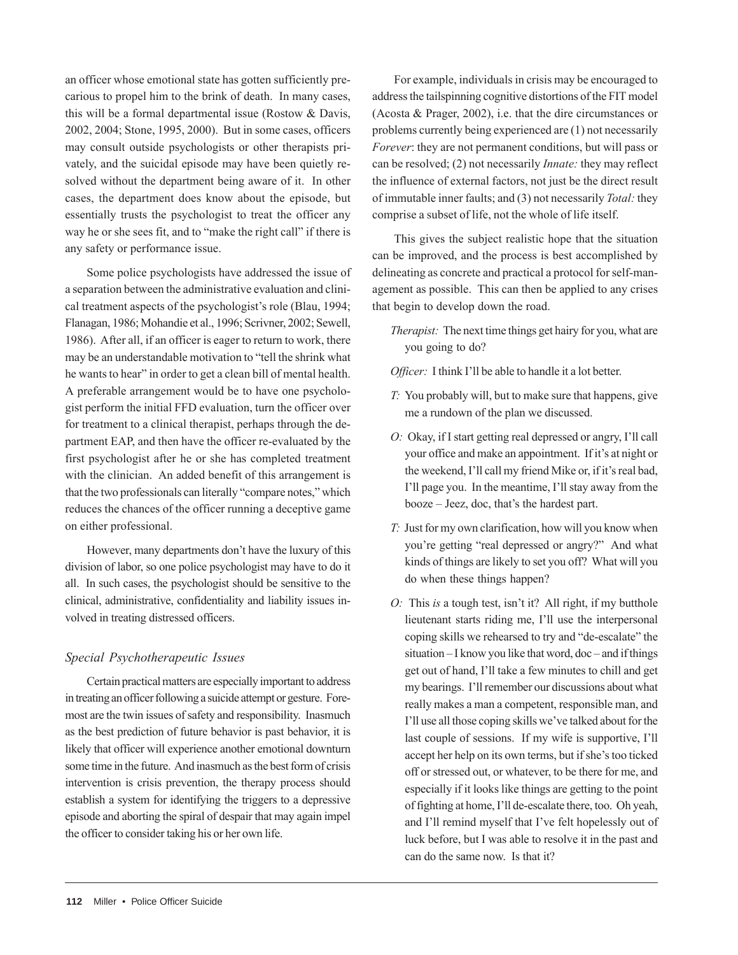an officer whose emotional state has gotten sufficiently precarious to propel him to the brink of death. In many cases, this will be a formal departmental issue (Rostow & Davis, 2002, 2004; Stone, 1995, 2000). But in some cases, officers may consult outside psychologists or other therapists privately, and the suicidal episode may have been quietly resolved without the department being aware of it. In other cases, the department does know about the episode, but essentially trusts the psychologist to treat the officer any way he or she sees fit, and to "make the right call" if there is any safety or performance issue.

Some police psychologists have addressed the issue of a separation between the administrative evaluation and clinical treatment aspects of the psychologist's role (Blau, 1994; Flanagan, 1986; Mohandie et al., 1996; Scrivner, 2002; Sewell, 1986). After all, if an officer is eager to return to work, there may be an understandable motivation to "tell the shrink what he wants to hear" in order to get a clean bill of mental health. A preferable arrangement would be to have one psychologist perform the initial FFD evaluation, turn the officer over for treatment to a clinical therapist, perhaps through the department EAP, and then have the officer re-evaluated by the first psychologist after he or she has completed treatment with the clinician. An added benefit of this arrangement is that the two professionals can literally "compare notes," which reduces the chances of the officer running a deceptive game on either professional.

However, many departments don't have the luxury of this division of labor, so one police psychologist may have to do it all. In such cases, the psychologist should be sensitive to the clinical, administrative, confidentiality and liability issues involved in treating distressed officers.

#### *Special Psychotherapeutic Issues*

Certain practical matters are especially important to address in treating an officer following a suicide attempt or gesture. Foremost are the twin issues of safety and responsibility. Inasmuch as the best prediction of future behavior is past behavior, it is likely that officer will experience another emotional downturn some time in the future. And inasmuch as the best form of crisis intervention is crisis prevention, the therapy process should establish a system for identifying the triggers to a depressive episode and aborting the spiral of despair that may again impel the officer to consider taking his or her own life.

For example, individuals in crisis may be encouraged to address the tailspinning cognitive distortions of the FIT model (Acosta & Prager, 2002), i.e. that the dire circumstances or problems currently being experienced are (1) not necessarily *Forever*: they are not permanent conditions, but will pass or can be resolved; (2) not necessarily *Innate:* they may reflect the influence of external factors, not just be the direct result of immutable inner faults; and (3) not necessarily *Total:* they comprise a subset of life, not the whole of life itself.

This gives the subject realistic hope that the situation can be improved, and the process is best accomplished by delineating as concrete and practical a protocol for self-management as possible. This can then be applied to any crises that begin to develop down the road.

*Therapist:* The next time things get hairy for you, what are you going to do?

*Officer:* I think I'll be able to handle it a lot better.

- *T:* You probably will, but to make sure that happens, give me a rundown of the plan we discussed.
- *O:* Okay, if I start getting real depressed or angry, I'll call your office and make an appointment. If it's at night or the weekend, I'll call my friend Mike or, if it's real bad, I'll page you. In the meantime, I'll stay away from the booze – Jeez, doc, that's the hardest part.
- *T:* Just for my own clarification, how will you know when you're getting "real depressed or angry?" And what kinds of things are likely to set you off? What will you do when these things happen?
- *O:* This *is* a tough test, isn't it? All right, if my butthole lieutenant starts riding me, I'll use the interpersonal coping skills we rehearsed to try and "de-escalate" the situation – I know you like that word, doc – and if things get out of hand, I'll take a few minutes to chill and get my bearings. I'll remember our discussions about what really makes a man a competent, responsible man, and I'll use all those coping skills we've talked about for the last couple of sessions. If my wife is supportive, I'll accept her help on its own terms, but if she's too ticked off or stressed out, or whatever, to be there for me, and especially if it looks like things are getting to the point of fighting at home, I'll de-escalate there, too. Oh yeah, and I'll remind myself that I've felt hopelessly out of luck before, but I was able to resolve it in the past and can do the same now. Is that it?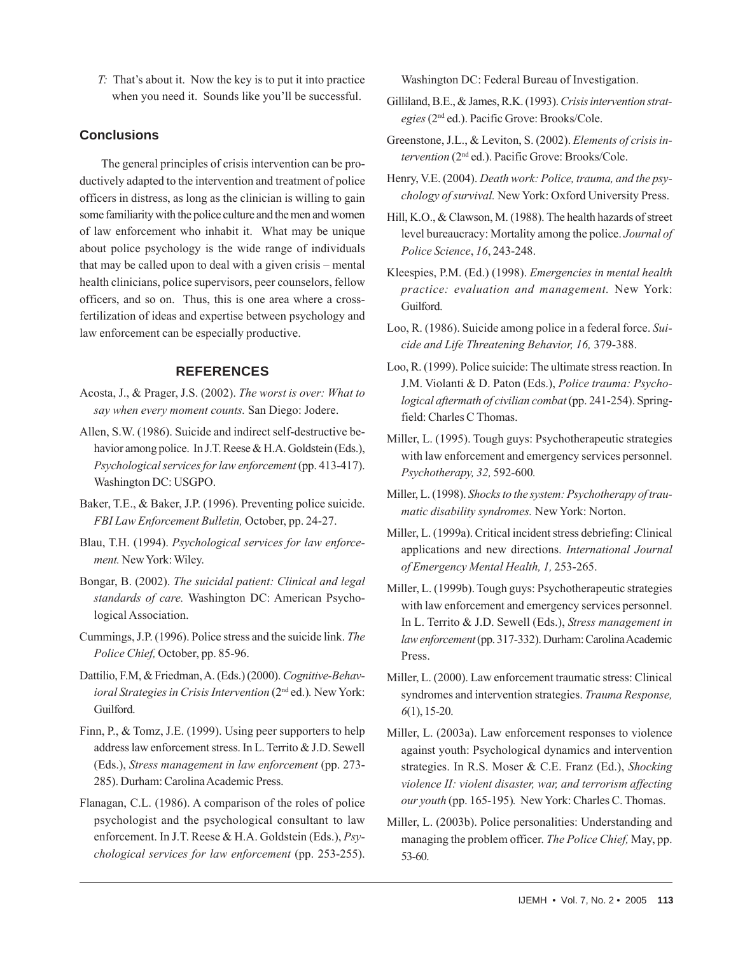*T:* That's about it. Now the key is to put it into practice when you need it. Sounds like you'll be successful.

# **Conclusions**

The general principles of crisis intervention can be productively adapted to the intervention and treatment of police officers in distress, as long as the clinician is willing to gain some familiarity with the police culture and the men and women of law enforcement who inhabit it. What may be unique about police psychology is the wide range of individuals that may be called upon to deal with a given crisis – mental health clinicians, police supervisors, peer counselors, fellow officers, and so on. Thus, this is one area where a crossfertilization of ideas and expertise between psychology and law enforcement can be especially productive.

# **REFERENCES**

- Acosta, J., & Prager, J.S. (2002). *The worst is over: What to say when every moment counts.* San Diego: Jodere.
- Allen, S.W. (1986). Suicide and indirect self-destructive behavior among police. In J.T. Reese & H.A. Goldstein (Eds.), *Psychological services for law enforcement* (pp. 413-417). Washington DC: USGPO.
- Baker, T.E., & Baker, J.P. (1996). Preventing police suicide. *FBI Law Enforcement Bulletin,* October, pp. 24-27.
- Blau, T.H. (1994). *Psychological services for law enforcement.* New York: Wiley.
- Bongar, B. (2002). *The suicidal patient: Clinical and legal standards of care.* Washington DC: American Psychological Association.
- Cummings, J.P. (1996). Police stress and the suicide link. *The Police Chief,* October, pp. 85-96.
- Dattilio, F.M, & Friedman, A. (Eds.) (2000). *Cognitive-Behavioral Strategies in Crisis Intervention* (2<sup>nd</sup> ed.). New York: Guilford.
- Finn, P., & Tomz, J.E. (1999). Using peer supporters to help address law enforcement stress. In L. Territo & J.D. Sewell (Eds.), *Stress management in law enforcement* (pp. 273- 285). Durham: Carolina Academic Press.
- Flanagan, C.L. (1986). A comparison of the roles of police psychologist and the psychological consultant to law enforcement. In J.T. Reese & H.A. Goldstein (Eds.), *Psychological services for law enforcement* (pp. 253-255).

Washington DC: Federal Bureau of Investigation.

- Gilliland, B.E., & James, R.K. (1993). *Crisis intervention strategies* (2nd ed.). Pacific Grove: Brooks/Cole.
- Greenstone, J.L., & Leviton, S. (2002). *Elements of crisis intervention* (2nd ed.). Pacific Grove: Brooks/Cole.
- Henry, V.E. (2004). *Death work: Police, trauma, and the psychology of survival.* New York: Oxford University Press.
- Hill, K.O., & Clawson, M. (1988). The health hazards of street level bureaucracy: Mortality among the police. *Journal of Police Science*, *16*, 243-248.
- Kleespies, P.M. (Ed.) (1998). *Emergencies in mental health practice: evaluation and management.* New York: Guilford.
- Loo, R. (1986). Suicide among police in a federal force. *Suicide and Life Threatening Behavior, 16,* 379-388.
- Loo, R. (1999). Police suicide: The ultimate stress reaction. In J.M. Violanti & D. Paton (Eds.), *Police trauma: Psychological aftermath of civilian combat* (pp. 241-254). Springfield: Charles C Thomas.
- Miller, L. (1995). Tough guys: Psychotherapeutic strategies with law enforcement and emergency services personnel. *Psychotherapy, 32,* 592*-*600*.*
- Miller, L. (1998). *Shocks to the system: Psychotherapy of traumatic disability syndromes.* New York: Norton.
- Miller, L. (1999a). Critical incident stress debriefing: Clinical applications and new directions. *International Journal of Emergency Mental Health, 1,* 253-265.
- Miller, L. (1999b). Tough guys: Psychotherapeutic strategies with law enforcement and emergency services personnel. In L. Territo & J.D. Sewell (Eds.), *Stress management in law enforcement* (pp. 317-332). Durham: Carolina Academic Press.
- Miller, L. (2000). Law enforcement traumatic stress: Clinical syndromes and intervention strategies. *Trauma Response, 6*(1), 15-20.
- Miller, L. (2003a). Law enforcement responses to violence against youth: Psychological dynamics and intervention strategies. In R.S. Moser & C.E. Franz (Ed.), *Shocking violence II: violent disaster, war, and terrorism affecting our youth* (pp. 165-195)*.* New York: Charles C. Thomas.
- Miller, L. (2003b). Police personalities: Understanding and managing the problem officer. *The Police Chief,* May, pp. 53-60.